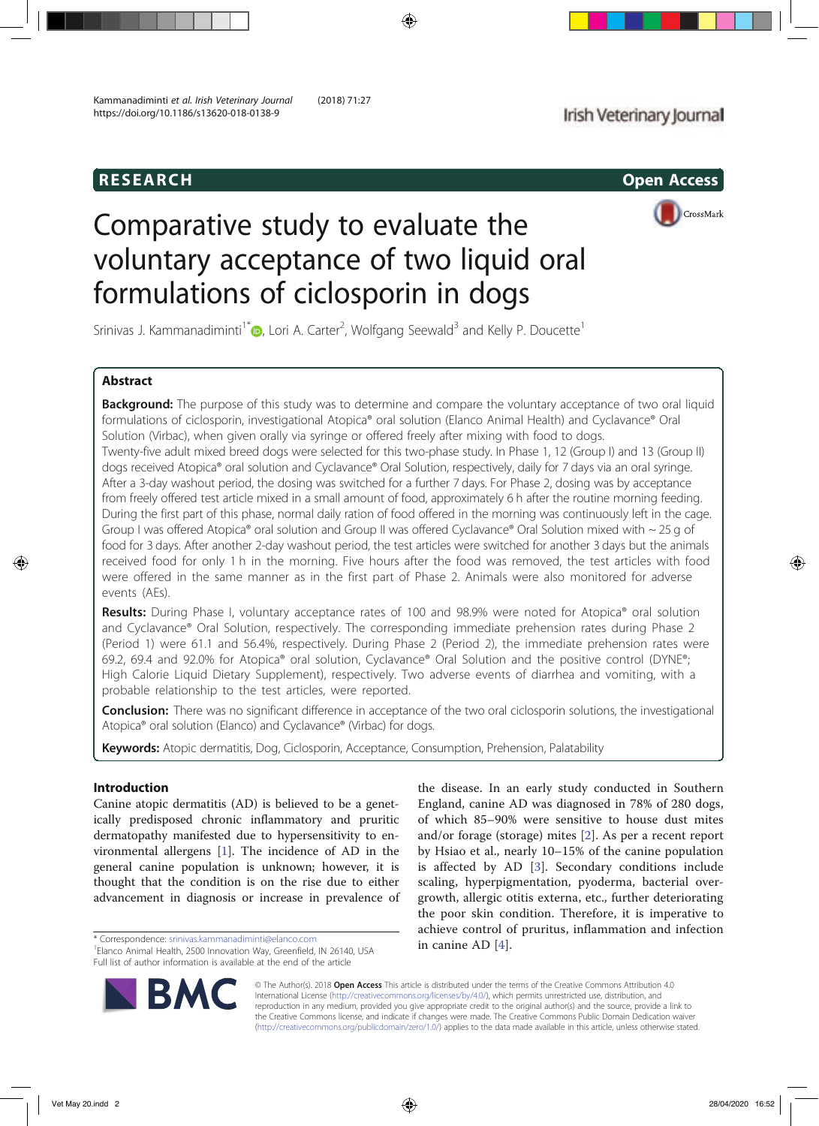

# Comparative study to evaluate the voluntary acceptance of two liquid oral formulations of ciclosporin in dogs

Srinivas J. Kammanadiminti<sup>1\*</sup> $\bullet$ , Lori A. Carter<sup>2</sup>, Wolfgang Seewald<sup>3</sup> and Kelly P. Doucette<sup>1</sup>

# Abstract

**Background:** The purpose of this study was to determine and compare the voluntary acceptance of two oral liquid formulations of ciclosporin, investigational Atopica® oral solution (Elanco Animal Health) and Cyclavance® Oral Solution (Virbac), when given orally via syringe or offered freely after mixing with food to dogs. Twenty-five adult mixed breed dogs were selected for this two-phase study. In Phase 1, 12 (Group I) and 13 (Group II) dogs received Atopica® oral solution and Cyclavance® Oral Solution, respectively, daily for 7 days via an oral syringe. After a 3-day washout period, the dosing was switched for a further 7 days. For Phase 2, dosing was by acceptance from freely offered test article mixed in a small amount of food, approximately 6 h after the routine morning feeding. During the first part of this phase, normal daily ration of food offered in the morning was continuously left in the cage. Group I was offered Atopica<sup>®</sup> oral solution and Group II was offered Cyclavance<sup>®</sup> Oral Solution mixed with  $\sim$  25 g of food for 3 days. After another 2-day washout period, the test articles were switched for another 3 days but the animals received food for only 1 h in the morning. Five hours after the food was removed, the test articles with food were offered in the same manner as in the first part of Phase 2. Animals were also monitored for adverse events (AEs).

Results: During Phase I, voluntary acceptance rates of 100 and 98.9% were noted for Atopica® oral solution and Cyclavance® Oral Solution, respectively. The corresponding immediate prehension rates during Phase 2 (Period 1) were 61.1 and 56.4%, respectively. During Phase 2 (Period 2), the immediate prehension rates were 69.2, 69.4 and 92.0% for Atopica® oral solution, Cyclavance® Oral Solution and the positive control (DYNE®; High Calorie Liquid Dietary Supplement), respectively. Two adverse events of diarrhea and vomiting, with a probable relationship to the test articles, were reported.

**Conclusion:** There was no significant difference in acceptance of the two oral ciclosporin solutions, the investigational Atopica® oral solution (Elanco) and Cyclavance® (Virbac) for dogs.

Keywords: Atopic dermatitis, Dog, Ciclosporin, Acceptance, Consumption, Prehension, Palatability

# Introduction

Canine atopic dermatitis (AD) is believed to be a genetically predisposed chronic inflammatory and pruritic dermatopathy manifested due to hypersensitivity to environmental allergens [1]. The incidence of AD in the general canine population is unknown; however, it is thought that the condition is on the rise due to either advancement in diagnosis or increase in prevalence of

\* Correspondence: srinivas.kammanadiminti@elanco.com **1996**<br><sup>1</sup>Elance Animal Hoalth, 2500 Innovation Way Creatfield, IN 26140 USA **1996 10 Canine AD** [4].

<sup>&</sup>lt;sup>1</sup> Elanco Animal Health, 2500 Innovation Way, Greenfield, IN 26140, USA Full list of author information is available at the end of the article





© The Author(s). 2018 Open Access This article is distributed under the terms of the Creative Commons Attribution 4.0 International License (http://creativecommons.org/licenses/by/4.0/), which permits unrestricted use, distribution, and reproduction in any medium, provided you give appropriate credit to the original author(s) and the source, provide a link to the Creative Commons license, and indicate if changes were made. The Creative Commons Public Domain Dedication waiver (http://creativecommons.org/publicdomain/zero/1.0/) applies to the data made available in this article, unless otherwise stated.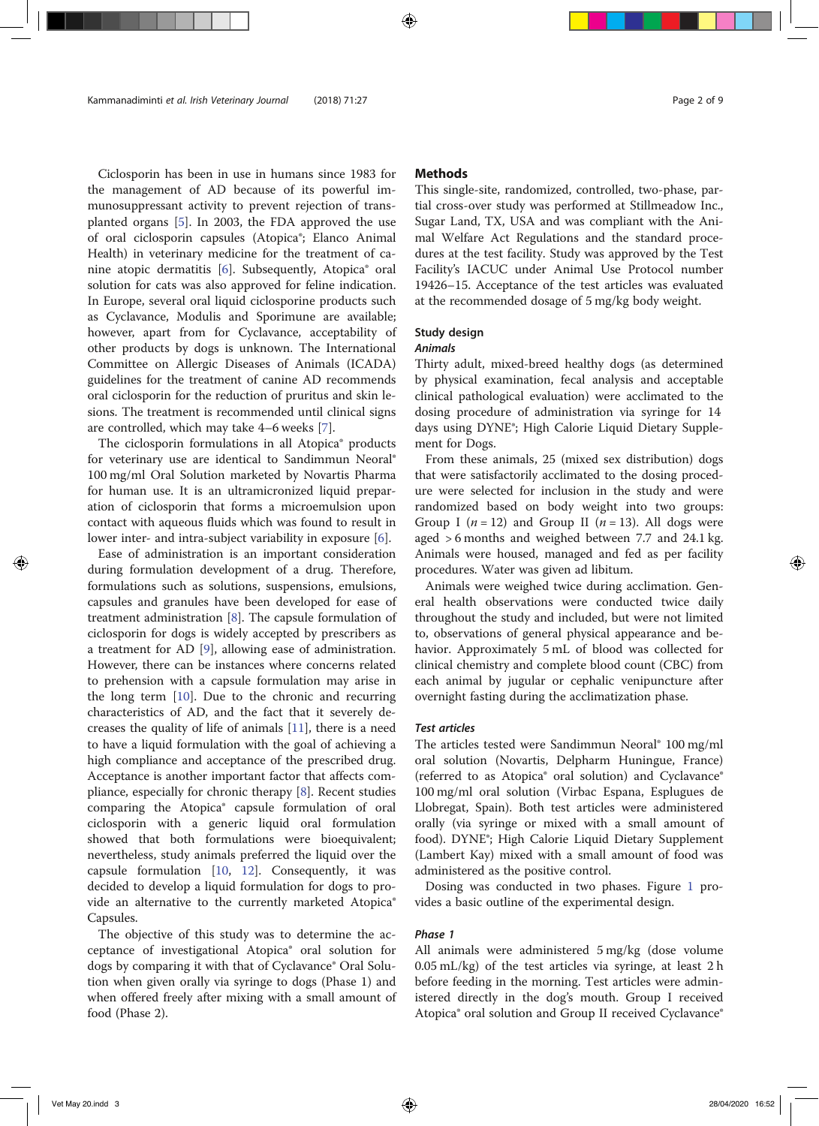Ciclosporin has been in use in humans since 1983 for the management of AD because of its powerful immunosuppressant activity to prevent rejection of transplanted organs [5]. In 2003, the FDA approved the use of oral ciclosporin capsules (Atopica®; Elanco Animal Health) in veterinary medicine for the treatment of canine atopic dermatitis [6]. Subsequently, Atopica® oral solution for cats was also approved for feline indication. In Europe, several oral liquid ciclosporine products such as Cyclavance, Modulis and Sporimune are available; however, apart from for Cyclavance, acceptability of other products by dogs is unknown. The International Committee on Allergic Diseases of Animals (ICADA) guidelines for the treatment of canine AD recommends oral ciclosporin for the reduction of pruritus and skin lesions. The treatment is recommended until clinical signs are controlled, which may take 4–6 weeks [7].

The ciclosporin formulations in all Atopica® products for veterinary use are identical to Sandimmun Neoral® 100 mg/ml Oral Solution marketed by Novartis Pharma for human use. It is an ultramicronized liquid preparation of ciclosporin that forms a microemulsion upon contact with aqueous fluids which was found to result in lower inter- and intra-subject variability in exposure [6].

Ease of administration is an important consideration during formulation development of a drug. Therefore, formulations such as solutions, suspensions, emulsions, capsules and granules have been developed for ease of treatment administration [8]. The capsule formulation of ciclosporin for dogs is widely accepted by prescribers as a treatment for AD [9], allowing ease of administration. However, there can be instances where concerns related to prehension with a capsule formulation may arise in the long term [10]. Due to the chronic and recurring characteristics of AD, and the fact that it severely decreases the quality of life of animals [11], there is a need to have a liquid formulation with the goal of achieving a high compliance and acceptance of the prescribed drug. Acceptance is another important factor that affects compliance, especially for chronic therapy [8]. Recent studies comparing the Atopica® capsule formulation of oral ciclosporin with a generic liquid oral formulation showed that both formulations were bioequivalent; nevertheless, study animals preferred the liquid over the capsule formulation [10, 12]. Consequently, it was decided to develop a liquid formulation for dogs to provide an alternative to the currently marketed Atopica® Capsules.

The objective of this study was to determine the acceptance of investigational Atopica® oral solution for dogs by comparing it with that of Cyclavance® Oral Solution when given orally via syringe to dogs (Phase 1) and when offered freely after mixing with a small amount of food (Phase 2).

# Methods

This single-site, randomized, controlled, two-phase, partial cross-over study was performed at Stillmeadow Inc., Sugar Land, TX, USA and was compliant with the Animal Welfare Act Regulations and the standard procedures at the test facility. Study was approved by the Test Facility's IACUC under Animal Use Protocol number 19426–15. Acceptance of the test articles was evaluated at the recommended dosage of 5 mg/kg body weight.

# Study design

# Animals

Thirty adult, mixed-breed healthy dogs (as determined by physical examination, fecal analysis and acceptable clinical pathological evaluation) were acclimated to the dosing procedure of administration via syringe for 14 days using DYNE®; High Calorie Liquid Dietary Supplement for Dogs.

From these animals, 25 (mixed sex distribution) dogs that were satisfactorily acclimated to the dosing procedure were selected for inclusion in the study and were randomized based on body weight into two groups: Group I ( $n = 12$ ) and Group II ( $n = 13$ ). All dogs were aged > 6 months and weighed between 7.7 and 24.1 kg. Animals were housed, managed and fed as per facility procedures. Water was given ad libitum.

Animals were weighed twice during acclimation. General health observations were conducted twice daily throughout the study and included, but were not limited to, observations of general physical appearance and behavior. Approximately 5 mL of blood was collected for clinical chemistry and complete blood count (CBC) from each animal by jugular or cephalic venipuncture after overnight fasting during the acclimatization phase.

# Test articles

The articles tested were Sandimmun Neoral® 100 mg/ml oral solution (Novartis, Delpharm Huningue, France) (referred to as Atopica® oral solution) and Cyclavance® 100 mg/ml oral solution (Virbac Espana, Esplugues de Llobregat, Spain). Both test articles were administered orally (via syringe or mixed with a small amount of food). DYNE®; High Calorie Liquid Dietary Supplement (Lambert Kay) mixed with a small amount of food was administered as the positive control.

Dosing was conducted in two phases. Figure 1 provides a basic outline of the experimental design.

# Phase 1

All animals were administered 5 mg/kg (dose volume 0.05 mL/kg) of the test articles via syringe, at least 2 h before feeding in the morning. Test articles were administered directly in the dog's mouth. Group I received Atopica® oral solution and Group II received Cyclavance®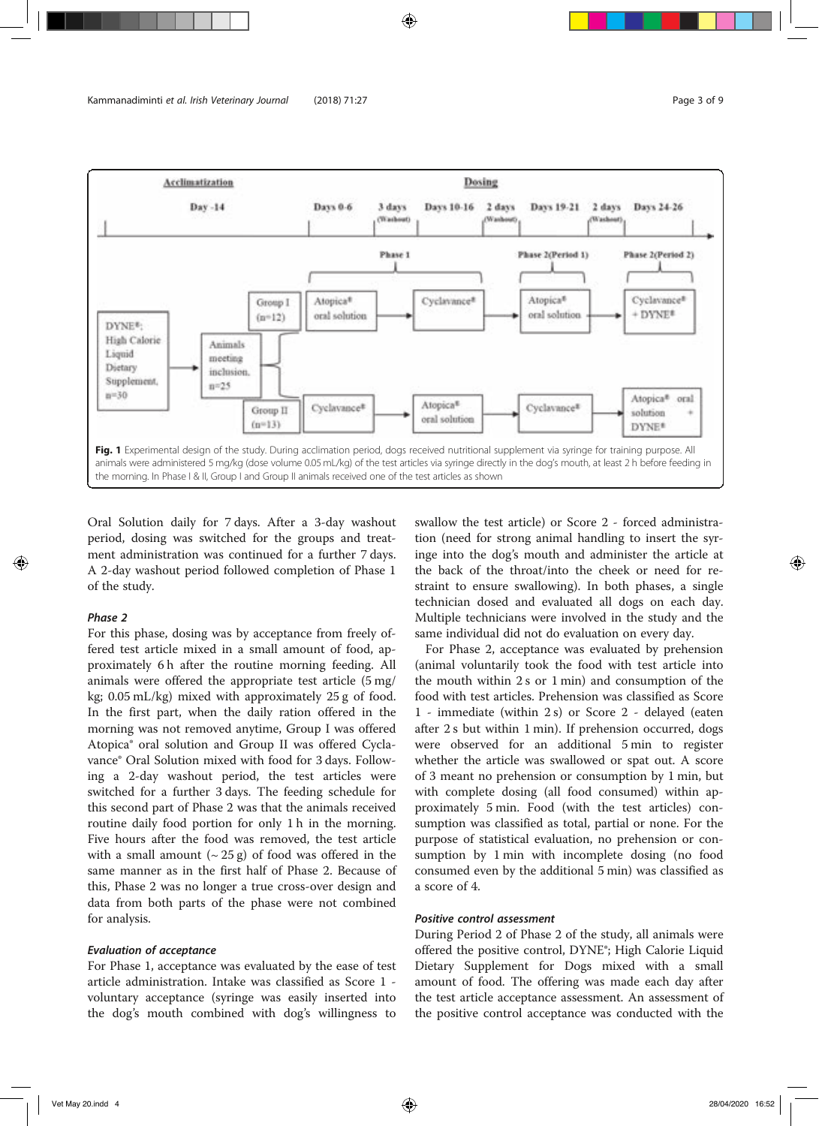

Oral Solution daily for 7 days. After a 3-day washout period, dosing was switched for the groups and treatment administration was continued for a further 7 days. A 2-day washout period followed completion of Phase 1 of the study.

# Phase 2

For this phase, dosing was by acceptance from freely offered test article mixed in a small amount of food, approximately 6 h after the routine morning feeding. All animals were offered the appropriate test article (5 mg/ kg; 0.05 mL/kg) mixed with approximately 25 g of food. In the first part, when the daily ration offered in the morning was not removed anytime, Group I was offered Atopica® oral solution and Group II was offered Cyclavance® Oral Solution mixed with food for 3 days. Following a 2-day washout period, the test articles were switched for a further 3 days. The feeding schedule for this second part of Phase 2 was that the animals received routine daily food portion for only 1 h in the morning. Five hours after the food was removed, the test article with a small amount  $({\sim}25 \text{ g})$  of food was offered in the same manner as in the first half of Phase 2. Because of this, Phase 2 was no longer a true cross-over design and data from both parts of the phase were not combined for analysis.

#### Evaluation of acceptance

For Phase 1, acceptance was evaluated by the ease of test article administration. Intake was classified as Score 1 voluntary acceptance (syringe was easily inserted into the dog's mouth combined with dog's willingness to swallow the test article) or Score 2 - forced administration (need for strong animal handling to insert the syringe into the dog's mouth and administer the article at the back of the throat/into the cheek or need for restraint to ensure swallowing). In both phases, a single technician dosed and evaluated all dogs on each day. Multiple technicians were involved in the study and the same individual did not do evaluation on every day.

For Phase 2, acceptance was evaluated by prehension (animal voluntarily took the food with test article into the mouth within 2 s or 1 min) and consumption of the food with test articles. Prehension was classified as Score 1 - immediate (within 2 s) or Score 2 - delayed (eaten after 2 s but within 1 min). If prehension occurred, dogs were observed for an additional 5 min to register whether the article was swallowed or spat out. A score of 3 meant no prehension or consumption by 1 min, but with complete dosing (all food consumed) within approximately 5 min. Food (with the test articles) consumption was classified as total, partial or none. For the purpose of statistical evaluation, no prehension or consumption by 1 min with incomplete dosing (no food consumed even by the additional 5 min) was classified as a score of 4.

# Positive control assessment

During Period 2 of Phase 2 of the study, all animals were offered the positive control, DYNE®; High Calorie Liquid Dietary Supplement for Dogs mixed with a small amount of food. The offering was made each day after the test article acceptance assessment. An assessment of the positive control acceptance was conducted with the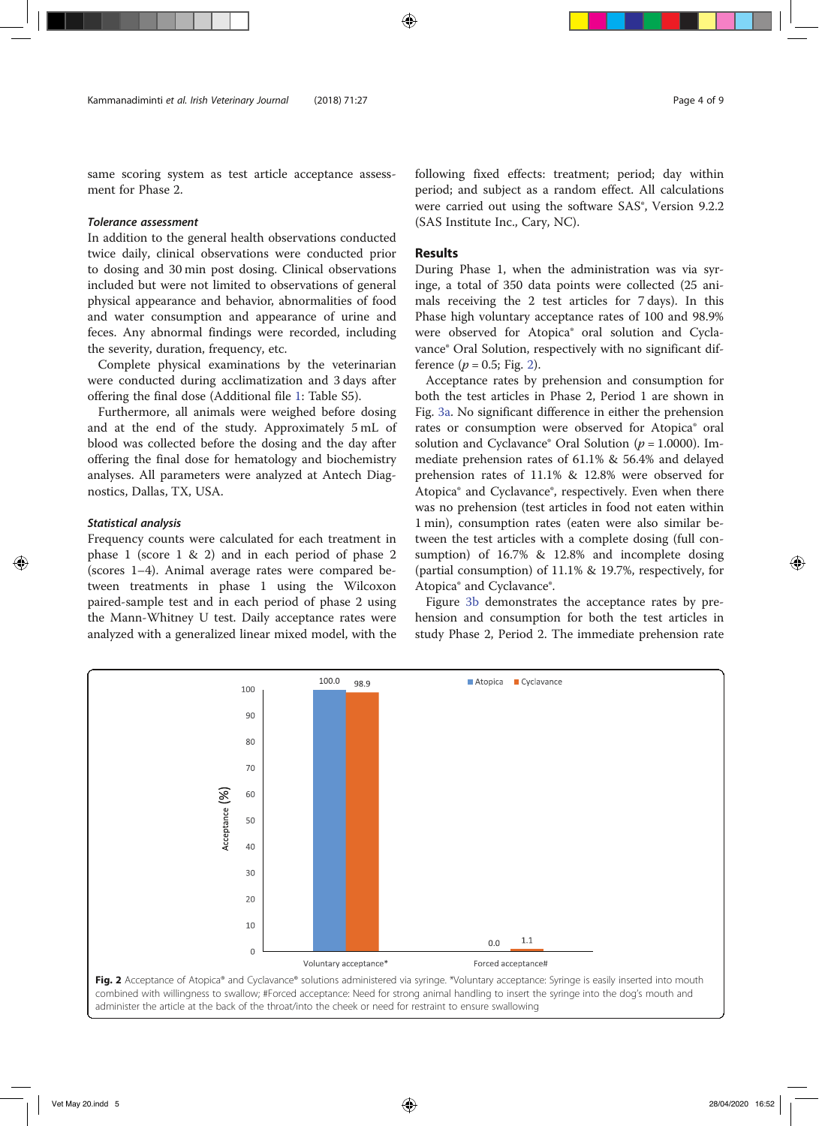same scoring system as test article acceptance assessment for Phase 2.

# Tolerance assessment

In addition to the general health observations conducted twice daily, clinical observations were conducted prior to dosing and 30 min post dosing. Clinical observations included but were not limited to observations of general physical appearance and behavior, abnormalities of food and water consumption and appearance of urine and feces. Any abnormal findings were recorded, including the severity, duration, frequency, etc.

Complete physical examinations by the veterinarian were conducted during acclimatization and 3 days after offering the final dose (Additional file 1: Table S5).

Furthermore, all animals were weighed before dosing and at the end of the study. Approximately 5 mL of blood was collected before the dosing and the day after offering the final dose for hematology and biochemistry analyses. All parameters were analyzed at Antech Diagnostics, Dallas, TX, USA.

#### Statistical analysis

Frequency counts were calculated for each treatment in phase 1 (score 1 & 2) and in each period of phase 2 (scores 1–4). Animal average rates were compared between treatments in phase 1 using the Wilcoxon paired-sample test and in each period of phase 2 using the Mann-Whitney U test. Daily acceptance rates were analyzed with a generalized linear mixed model, with the

following fixed effects: treatment; period; day within period; and subject as a random effect. All calculations were carried out using the software SAS®, Version 9.2.2 (SAS Institute Inc., Cary, NC).

#### Results

During Phase 1, when the administration was via syringe, a total of 350 data points were collected (25 animals receiving the 2 test articles for 7 days). In this Phase high voluntary acceptance rates of 100 and 98.9% were observed for Atopica® oral solution and Cyclavance® Oral Solution, respectively with no significant difference ( $p = 0.5$ ; Fig. 2).

Acceptance rates by prehension and consumption for both the test articles in Phase 2, Period 1 are shown in Fig. 3a. No significant difference in either the prehension rates or consumption were observed for Atopica® oral solution and Cyclavance<sup>®</sup> Oral Solution ( $p = 1.0000$ ). Immediate prehension rates of 61.1% & 56.4% and delayed prehension rates of 11.1% & 12.8% were observed for Atopica® and Cyclavance®, respectively. Even when there was no prehension (test articles in food not eaten within 1 min), consumption rates (eaten were also similar between the test articles with a complete dosing (full consumption) of 16.7% & 12.8% and incomplete dosing (partial consumption) of 11.1% & 19.7%, respectively, for Atopica® and Cyclavance®.

Figure 3b demonstrates the acceptance rates by prehension and consumption for both the test articles in study Phase 2, Period 2. The immediate prehension rate

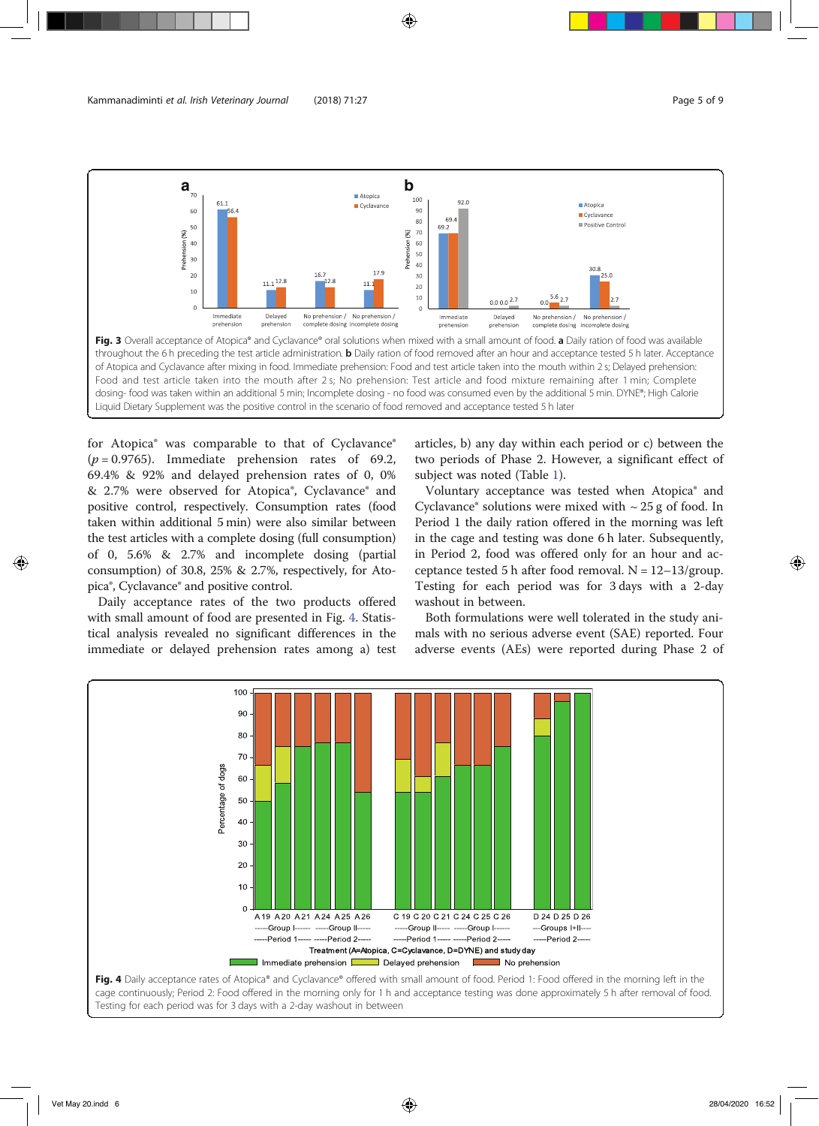

Liquid Dietary Supplement was the positive control in the scenario of food removed and acceptance tested 5 h later

for Atopica<sup>®</sup> was comparable to that of Cyclavance<sup>®</sup>  $(p = 0.9765)$ . Immediate prehension rates of 69.2, 69.4% & 92% and delayed prehension rates of 0, 0% & 2.7% were observed for Atopica®, Cyclavance® and positive control, respectively. Consumption rates (food taken within additional 5 min) were also similar between the test articles with a complete dosing (full consumption) of 0, 5.6% & 2.7% and incomplete dosing (partial consumption) of 30.8, 25% & 2.7%, respectively, for Atopica®, Cyclavance® and positive control.

Daily acceptance rates of the two products offered with small amount of food are presented in Fig. 4. Statistical analysis revealed no significant differences in the immediate or delayed prehension rates among a) test

articles, b) any day within each period or c) between the two periods of Phase 2. However, a significant effect of subject was noted (Table 1).

Voluntary acceptance was tested when Atopica® and Cyclavance® solutions were mixed with  $\sim$  25 g of food. In Period 1 the daily ration offered in the morning was left in the cage and testing was done 6 h later. Subsequently, in Period 2, food was offered only for an hour and acceptance tested 5 h after food removal.  $N = 12-13/group$ . Testing for each period was for 3 days with a 2-day washout in between.

Both formulations were well tolerated in the study animals with no serious adverse event (SAE) reported. Four adverse events (AEs) were reported during Phase 2 of



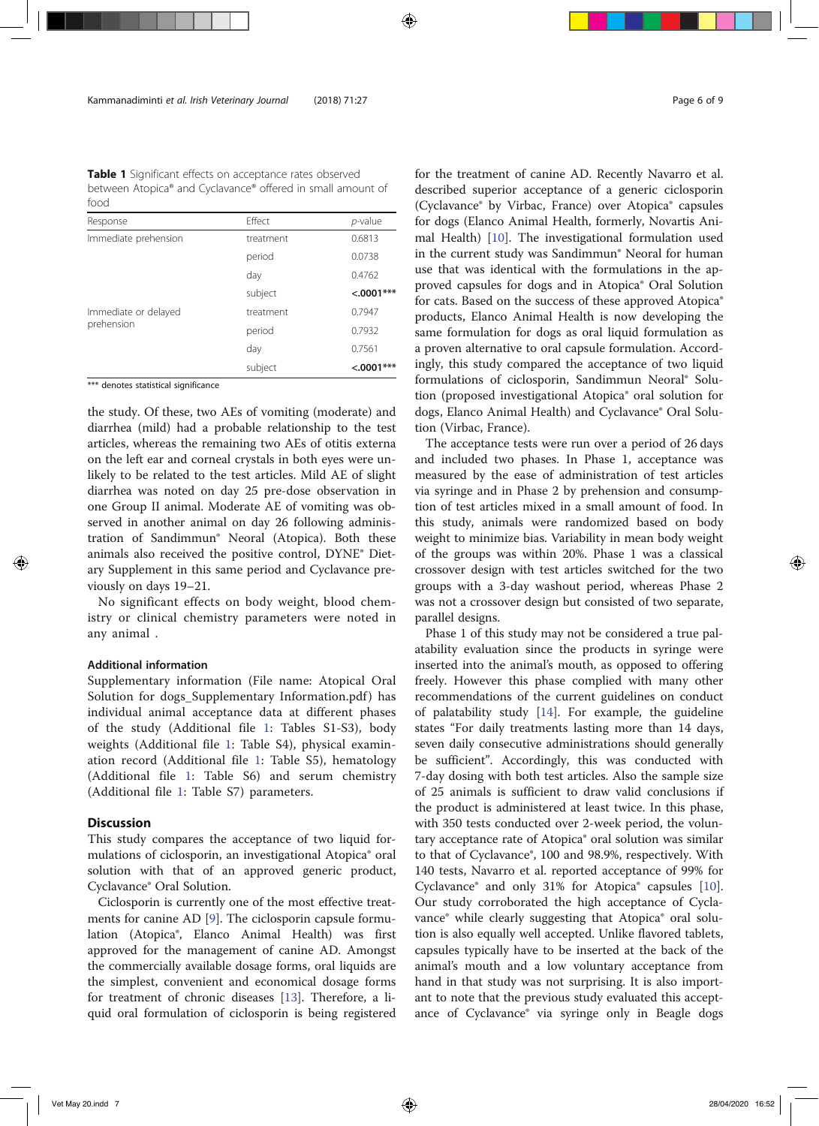Table 1 Significant effects on acceptance rates observed between Atopica® and Cyclavance® offered in small amount of food

| Response                           | Effect    | $p$ -value   |
|------------------------------------|-----------|--------------|
| Immediate prehension               | treatment | 0.6813       |
|                                    | period    | 0.0738       |
|                                    | day       | 0.4762       |
|                                    | subject   | $< .0001***$ |
| Immediate or delayed<br>prehension | treatment | 0.7947       |
|                                    | period    | 0.7932       |
|                                    | day       | 0.7561       |
|                                    | subject   | $< .0001***$ |

\*\*\* denotes statistical significance

the study. Of these, two AEs of vomiting (moderate) and diarrhea (mild) had a probable relationship to the test articles, whereas the remaining two AEs of otitis externa on the left ear and corneal crystals in both eyes were unlikely to be related to the test articles. Mild AE of slight diarrhea was noted on day 25 pre-dose observation in one Group II animal. Moderate AE of vomiting was observed in another animal on day 26 following administration of Sandimmun® Neoral (Atopica). Both these animals also received the positive control, DYNE® Dietary Supplement in this same period and Cyclavance previously on days 19–21.

No significant effects on body weight, blood chemistry or clinical chemistry parameters were noted in any animal .

# Additional information

Supplementary information (File name: Atopical Oral Solution for dogs\_Supplementary Information.pdf) has individual animal acceptance data at different phases of the study (Additional file 1: Tables S1-S3), body weights (Additional file 1: Table S4), physical examination record (Additional file 1: Table S5), hematology (Additional file 1: Table S6) and serum chemistry (Additional file 1: Table S7) parameters.

# **Discussion**

This study compares the acceptance of two liquid formulations of ciclosporin, an investigational Atopica® oral solution with that of an approved generic product, Cyclavance® Oral Solution.

Ciclosporin is currently one of the most effective treatments for canine AD [9]. The ciclosporin capsule formulation (Atopica®, Elanco Animal Health) was first approved for the management of canine AD. Amongst the commercially available dosage forms, oral liquids are the simplest, convenient and economical dosage forms for treatment of chronic diseases [13]. Therefore, a liquid oral formulation of ciclosporin is being registered

for the treatment of canine AD. Recently Navarro et al. described superior acceptance of a generic ciclosporin (Cyclavance® by Virbac, France) over Atopica® capsules for dogs (Elanco Animal Health, formerly, Novartis Animal Health) [10]. The investigational formulation used in the current study was Sandimmun® Neoral for human use that was identical with the formulations in the approved capsules for dogs and in Atopica® Oral Solution for cats. Based on the success of these approved Atopica® products, Elanco Animal Health is now developing the same formulation for dogs as oral liquid formulation as a proven alternative to oral capsule formulation. Accordingly, this study compared the acceptance of two liquid formulations of ciclosporin, Sandimmun Neoral® Solution (proposed investigational Atopica® oral solution for dogs, Elanco Animal Health) and Cyclavance® Oral Solution (Virbac, France).

The acceptance tests were run over a period of 26 days and included two phases. In Phase 1, acceptance was measured by the ease of administration of test articles via syringe and in Phase 2 by prehension and consumption of test articles mixed in a small amount of food. In this study, animals were randomized based on body weight to minimize bias. Variability in mean body weight of the groups was within 20%. Phase 1 was a classical crossover design with test articles switched for the two groups with a 3-day washout period, whereas Phase 2 was not a crossover design but consisted of two separate, parallel designs.

Phase 1 of this study may not be considered a true palatability evaluation since the products in syringe were inserted into the animal's mouth, as opposed to offering freely. However this phase complied with many other recommendations of the current guidelines on conduct of palatability study [14]. For example, the guideline states "For daily treatments lasting more than 14 days, seven daily consecutive administrations should generally be sufficient". Accordingly, this was conducted with 7-day dosing with both test articles. Also the sample size of 25 animals is sufficient to draw valid conclusions if the product is administered at least twice. In this phase, with 350 tests conducted over 2-week period, the voluntary acceptance rate of Atopica® oral solution was similar to that of Cyclavance®, 100 and 98.9%, respectively. With 140 tests, Navarro et al. reported acceptance of 99% for Cyclavance® and only 31% for Atopica® capsules [10]. Our study corroborated the high acceptance of Cyclavance® while clearly suggesting that Atopica® oral solution is also equally well accepted. Unlike flavored tablets, capsules typically have to be inserted at the back of the animal's mouth and a low voluntary acceptance from hand in that study was not surprising. It is also important to note that the previous study evaluated this acceptance of Cyclavance® via syringe only in Beagle dogs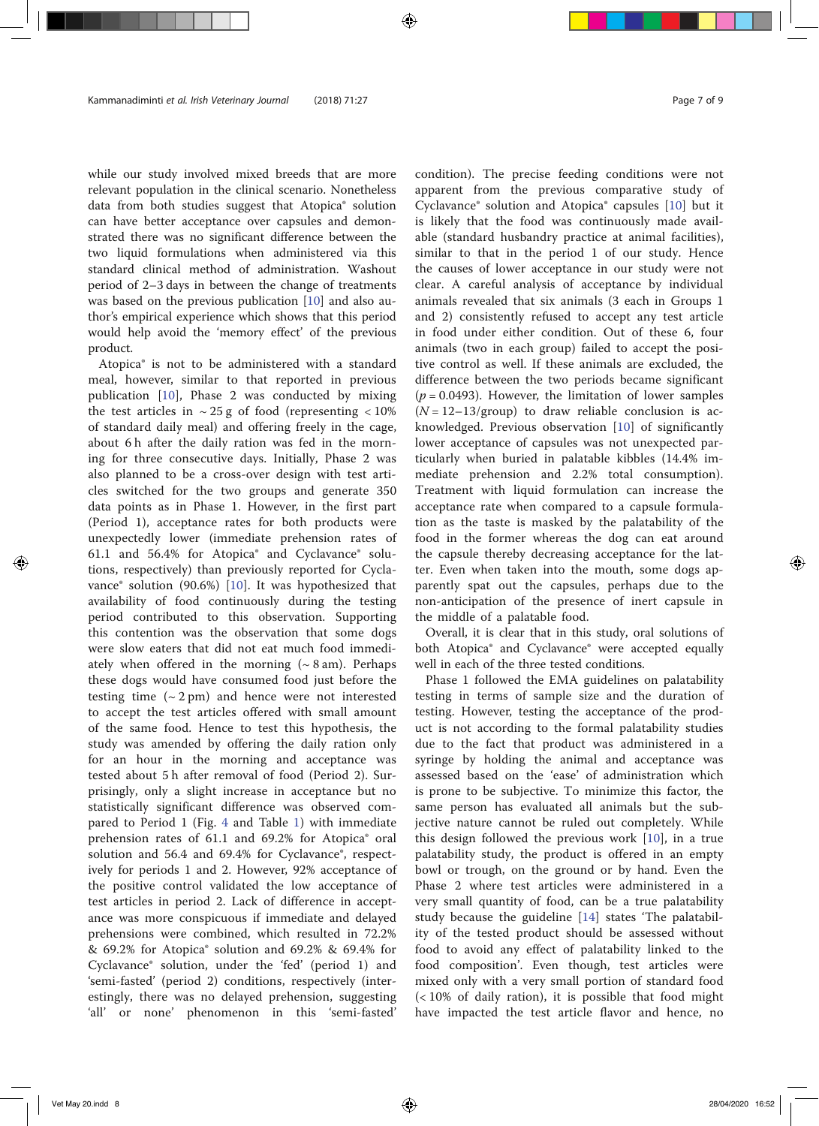while our study involved mixed breeds that are more relevant population in the clinical scenario. Nonetheless data from both studies suggest that Atopica® solution can have better acceptance over capsules and demonstrated there was no significant difference between the two liquid formulations when administered via this standard clinical method of administration. Washout period of 2–3 days in between the change of treatments was based on the previous publication [10] and also author's empirical experience which shows that this period would help avoid the 'memory effect' of the previous product.

Atopica® is not to be administered with a standard meal, however, similar to that reported in previous publication [10], Phase 2 was conducted by mixing the test articles in  $\sim$  25 g of food (representing  $\lt$  10%) of standard daily meal) and offering freely in the cage, about 6 h after the daily ration was fed in the morning for three consecutive days. Initially, Phase 2 was also planned to be a cross-over design with test articles switched for the two groups and generate 350 data points as in Phase 1. However, in the first part (Period 1), acceptance rates for both products were unexpectedly lower (immediate prehension rates of 61.1 and 56.4% for Atopica® and Cyclavance® solutions, respectively) than previously reported for Cyclavance® solution (90.6%) [10]. It was hypothesized that availability of food continuously during the testing period contributed to this observation. Supporting this contention was the observation that some dogs were slow eaters that did not eat much food immediately when offered in the morning  $({\sim} 8 \text{ am})$ . Perhaps these dogs would have consumed food just before the testing time  $({\sim}2 \text{ pm})$  and hence were not interested to accept the test articles offered with small amount of the same food. Hence to test this hypothesis, the study was amended by offering the daily ration only for an hour in the morning and acceptance was tested about 5 h after removal of food (Period 2). Surprisingly, only a slight increase in acceptance but no statistically significant difference was observed compared to Period 1 (Fig. 4 and Table 1) with immediate prehension rates of 61.1 and 69.2% for Atopica® oral solution and 56.4 and 69.4% for Cyclavance®, respectively for periods 1 and 2. However, 92% acceptance of the positive control validated the low acceptance of test articles in period 2. Lack of difference in acceptance was more conspicuous if immediate and delayed prehensions were combined, which resulted in 72.2% & 69.2% for Atopica® solution and 69.2% & 69.4% for Cyclavance® solution, under the 'fed' (period 1) and 'semi-fasted' (period 2) conditions, respectively (interestingly, there was no delayed prehension, suggesting 'all' or none' phenomenon in this 'semi-fasted'

condition). The precise feeding conditions were not apparent from the previous comparative study of Cyclavance® solution and Atopica® capsules [10] but it is likely that the food was continuously made available (standard husbandry practice at animal facilities), similar to that in the period 1 of our study. Hence the causes of lower acceptance in our study were not clear. A careful analysis of acceptance by individual animals revealed that six animals (3 each in Groups 1 and 2) consistently refused to accept any test article in food under either condition. Out of these 6, four animals (two in each group) failed to accept the positive control as well. If these animals are excluded, the difference between the two periods became significant  $(p = 0.0493)$ . However, the limitation of lower samples  $(N = 12 - 13$ /group) to draw reliable conclusion is acknowledged. Previous observation [10] of significantly lower acceptance of capsules was not unexpected particularly when buried in palatable kibbles (14.4% immediate prehension and 2.2% total consumption). Treatment with liquid formulation can increase the acceptance rate when compared to a capsule formulation as the taste is masked by the palatability of the food in the former whereas the dog can eat around the capsule thereby decreasing acceptance for the latter. Even when taken into the mouth, some dogs apparently spat out the capsules, perhaps due to the non-anticipation of the presence of inert capsule in the middle of a palatable food.

Overall, it is clear that in this study, oral solutions of both Atopica® and Cyclavance® were accepted equally well in each of the three tested conditions.

Phase 1 followed the EMA guidelines on palatability testing in terms of sample size and the duration of testing. However, testing the acceptance of the product is not according to the formal palatability studies due to the fact that product was administered in a syringe by holding the animal and acceptance was assessed based on the 'ease' of administration which is prone to be subjective. To minimize this factor, the same person has evaluated all animals but the subjective nature cannot be ruled out completely. While this design followed the previous work [10], in a true palatability study, the product is offered in an empty bowl or trough, on the ground or by hand. Even the Phase 2 where test articles were administered in a very small quantity of food, can be a true palatability study because the guideline [14] states 'The palatability of the tested product should be assessed without food to avoid any effect of palatability linked to the food composition'. Even though, test articles were mixed only with a very small portion of standard food (< 10% of daily ration), it is possible that food might have impacted the test article flavor and hence, no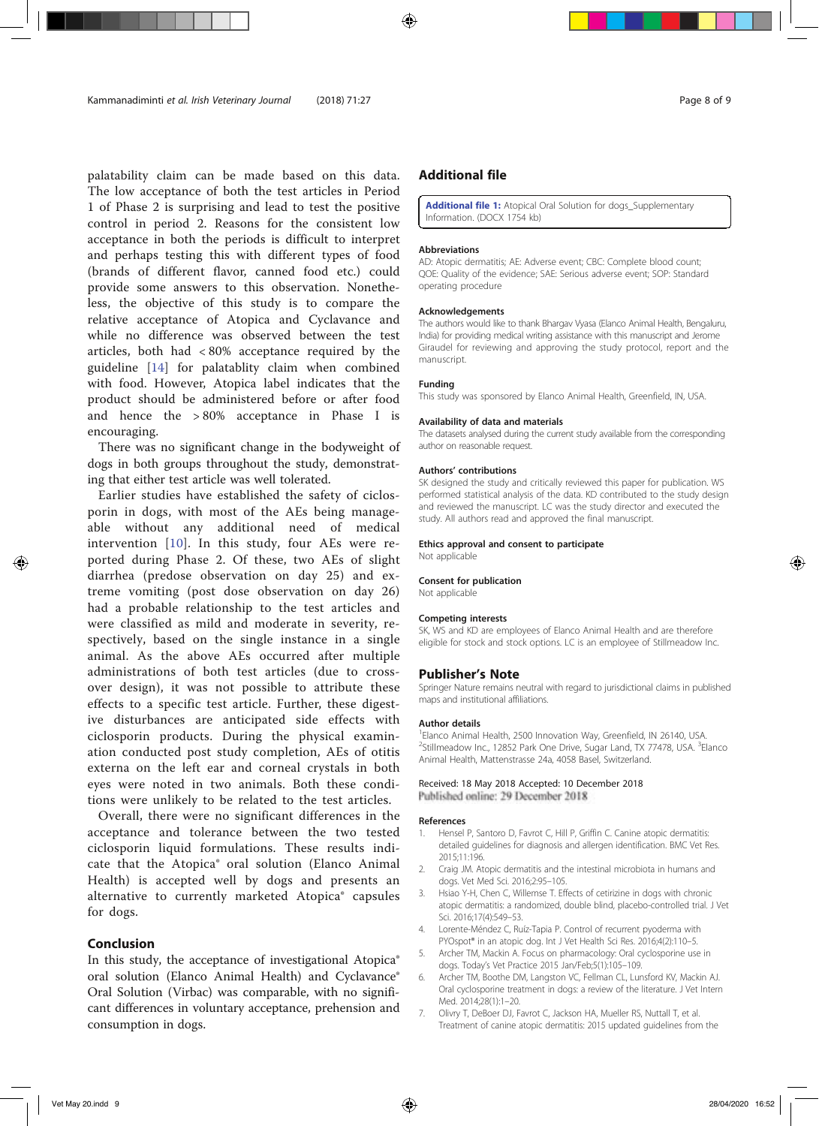palatability claim can be made based on this data. The low acceptance of both the test articles in Period 1 of Phase 2 is surprising and lead to test the positive control in period 2. Reasons for the consistent low acceptance in both the periods is difficult to interpret and perhaps testing this with different types of food (brands of different flavor, canned food etc.) could provide some answers to this observation. Nonetheless, the objective of this study is to compare the relative acceptance of Atopica and Cyclavance and while no difference was observed between the test articles, both had < 80% acceptance required by the guideline [14] for palatablity claim when combined with food. However, Atopica label indicates that the product should be administered before or after food and hence the > 80% acceptance in Phase I is encouraging.

There was no significant change in the bodyweight of dogs in both groups throughout the study, demonstrating that either test article was well tolerated.

Earlier studies have established the safety of ciclosporin in dogs, with most of the AEs being manageable without any additional need of medical intervention [10]. In this study, four AEs were reported during Phase 2. Of these, two AEs of slight diarrhea (predose observation on day 25) and extreme vomiting (post dose observation on day 26) had a probable relationship to the test articles and were classified as mild and moderate in severity, respectively, based on the single instance in a single animal. As the above AEs occurred after multiple administrations of both test articles (due to crossover design), it was not possible to attribute these effects to a specific test article. Further, these digestive disturbances are anticipated side effects with ciclosporin products. During the physical examination conducted post study completion, AEs of otitis externa on the left ear and corneal crystals in both eyes were noted in two animals. Both these conditions were unlikely to be related to the test articles.

Overall, there were no significant differences in the acceptance and tolerance between the two tested ciclosporin liquid formulations. These results indicate that the Atopica® oral solution (Elanco Animal Health) is accepted well by dogs and presents an alternative to currently marketed Atopica® capsules for dogs.

# Conclusion

In this study, the acceptance of investigational Atopica® oral solution (Elanco Animal Health) and Cyclavance® Oral Solution (Virbac) was comparable, with no significant differences in voluntary acceptance, prehension and consumption in dogs.

# Additional file

Additional file 1: Atopical Oral Solution for dogs\_Supplementary Information. (DOCX 1754 kb)

#### Abbreviations

AD: Atopic dermatitis; AE: Adverse event; CBC: Complete blood count; QOE: Quality of the evidence; SAE: Serious adverse event; SOP: Standard operating procedure

#### Acknowledgements

The authors would like to thank Bhargav Vyasa (Elanco Animal Health, Bengaluru, India) for providing medical writing assistance with this manuscript and Jerome Giraudel for reviewing and approving the study protocol, report and the manuscript.

#### Funding

This study was sponsored by Elanco Animal Health, Greenfield, IN, USA.

#### Availability of data and materials

The datasets analysed during the current study available from the corresponding author on reasonable request.

#### Authors' contributions

SK designed the study and critically reviewed this paper for publication. WS performed statistical analysis of the data. KD contributed to the study design and reviewed the manuscript. LC was the study director and executed the study. All authors read and approved the final manuscript.

#### Ethics approval and consent to participate

Not applicable

#### Consent for publication

Not applicable

#### Competing interests

SK, WS and KD are employees of Elanco Animal Health and are therefore eligible for stock and stock options. LC is an employee of Stillmeadow Inc.

#### Publisher's Note

Springer Nature remains neutral with regard to jurisdictional claims in published maps and institutional affiliations.

#### Author details

<sup>1</sup> Elanco Animal Health, 2500 Innovation Way, Greenfield, IN 26140, USA. <sup>2</sup>Stillmeadow Inc., 12852 Park One Drive, Sugar Land, TX 77478, USA. <sup>3</sup>Elanco Animal Health, Mattenstrasse 24a, 4058 Basel, Switzerland.

#### Received: 18 May 2018 Accepted: 10 December 2018 Published online: 29 December 2018

# References

- 1. Hensel P, Santoro D, Favrot C, Hill P, Griffin C. Canine atopic dermatitis: detailed guidelines for diagnosis and allergen identification. BMC Vet Res. 2015;11:196.
- 2. Craig JM. Atopic dermatitis and the intestinal microbiota in humans and dogs. Vet Med Sci. 2016;2:95–105.
- 3. Hsiao Y-H, Chen C, Willemse T. Effects of cetirizine in dogs with chronic atopic dermatitis: a randomized, double blind, placebo-controlled trial. J Vet Sci. 2016;17(4):549–53.
- 4. Lorente-Méndez C, Ruíz-Tapia P. Control of recurrent pyoderma with PYOspot® in an atopic dog. Int J Vet Health Sci Res. 2016;4(2):110–5.
- 5. Archer TM, Mackin A. Focus on pharmacology: Oral cyclosporine use in dogs. Today's Vet Practice 2015 Jan/Feb;5(1):105–109.
- 6. Archer TM, Boothe DM, Langston VC, Fellman CL, Lunsford KV, Mackin AJ. Oral cyclosporine treatment in dogs: a review of the literature. J Vet Intern Med. 2014;28(1):1–20.
- 7. Olivry T, DeBoer DJ, Favrot C, Jackson HA, Mueller RS, Nuttall T, et al. Treatment of canine atopic dermatitis: 2015 updated guidelines from the